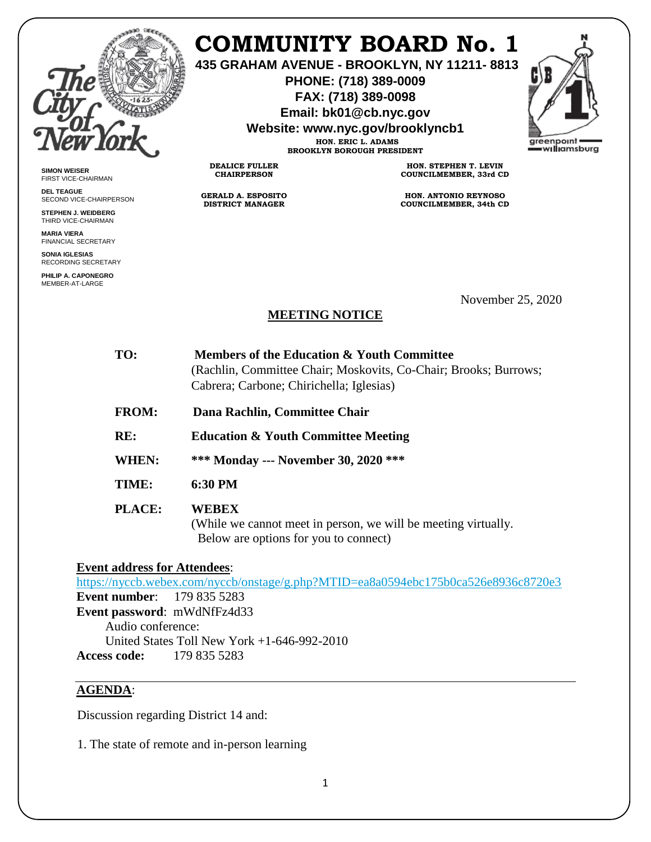

## **COMMUNITY BOARD No. 1**

**435 GRAHAM AVENUE - BROOKLYN, NY 11211- 8813**

**PHONE: (718) 389-0009 FAX: (718) 389-0098**

**Email: bk01@cb.nyc.gov**

**Website: www.nyc.gov/brooklyncb1**

**HON. ERIC L. ADAMS BROOKLYN BOROUGH PRESIDENT**

**DEALICE FULLER CHAIRPERSON**

**GERALD A. ESPOSITO DISTRICT MANAGER**

**HON. STEPHEN T. LEVIN COUNCILMEMBER, 33rd CD**

**HON. ANTONIO REYNOSO COUNCILMEMBER, 34th CD**

**SIMON WEISER** FIRST VICE-CHAIRMAN

**DEL TEAGUE** SECOND VICE-CHAIRPERSON

**STEPHEN J. WEIDBERG** THIRD VICE-CHAIRMAN **MARIA VIERA**

FINANCIAL SECRETARY

**SONIA IGLESIAS** RECORDING SECRETARY

**PHILIP A. CAPONEGRO** MEMBER-AT-LARGE

November 25, 2020

## **MEETING NOTICE**

| TO:           | Members of the Education & Youth Committee<br>(Rachlin, Committee Chair; Moskovits, Co-Chair; Brooks; Burrows;<br>Cabrera; Carbone; Chirichella; Iglesias) |
|---------------|------------------------------------------------------------------------------------------------------------------------------------------------------------|
| <b>FROM:</b>  | Dana Rachlin, Committee Chair                                                                                                                              |
| RE:           | <b>Education &amp; Youth Committee Meeting</b>                                                                                                             |
| WHEN:         | *** Monday --- November 30, 2020 ***                                                                                                                       |
| TIME:         | 6:30 PM                                                                                                                                                    |
| <b>PLACE:</b> | WEBEX<br>(While we cannot meet in person, we will be meeting virtually.<br>Below are options for you to connect)                                           |

**Event address for Attendees**:

<https://nyccb.webex.com/nyccb/onstage/g.php?MTID=ea8a0594ebc175b0ca526e8936c8720e3> **Event number**: 179 835 5283 **Event password**: mWdNfFz4d33 Audio conference: United States Toll New York +1-646-992-2010 **Access code:** 179 835 5283

## **AGENDA**:

Discussion regarding District 14 and:

1. The state of remote and in-person learning